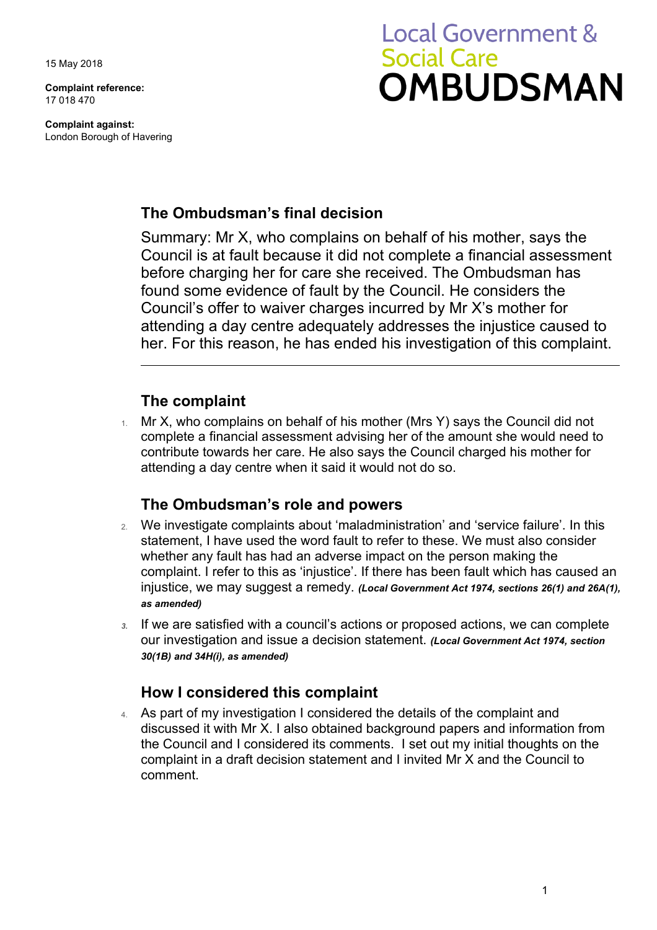15 May 2018

**Complaint reference:**  17 018 470

**Complaint against:**  London Borough of Havering

# **Local Government & Social Care OMBUDSMAN**

# **The Ombudsman's final decision**

Summary: Mr X, who complains on behalf of his mother, says the Council is at fault because it did not complete a financial assessment before charging her for care she received. The Ombudsman has found some evidence of fault by the Council. He considers the Council's offer to waiver charges incurred by Mr X's mother for attending a day centre adequately addresses the injustice caused to her. For this reason, he has ended his investigation of this complaint.

# **The complaint**

 complete a financial assessment advising her of the amount she would need to contribute towards her care. He also says the Council charged his mother for 1. Mr X, who complains on behalf of his mother (Mrs Y) says the Council did not attending a day centre when it said it would not do so.

## **The Ombudsman's role and powers**

- 2. We investigate complaints about 'maladministration' and 'service failure'. In this statement, I have used the word fault to refer to these. We must also consider whether any fault has had an adverse impact on the person making the complaint. I refer to this as 'injustice'. If there has been fault which has caused an injustice, we may suggest a remedy. *(Local Government Act 1974, sections 26(1) and 26A(1), as amended)*
- our investigation and issue a decision statement. *(Local Government Act 1974, section 3.* If we are satisfied with a council's actions or proposed actions, we can complete *30(1B) and 34H(i), as amended)*

# **How I considered this complaint**

4. As part of my investigation I considered the details of the complaint and discussed it with Mr X. I also obtained background papers and information from the Council and I considered its comments. I set out my initial thoughts on the complaint in a draft decision statement and I invited Mr X and the Council to comment.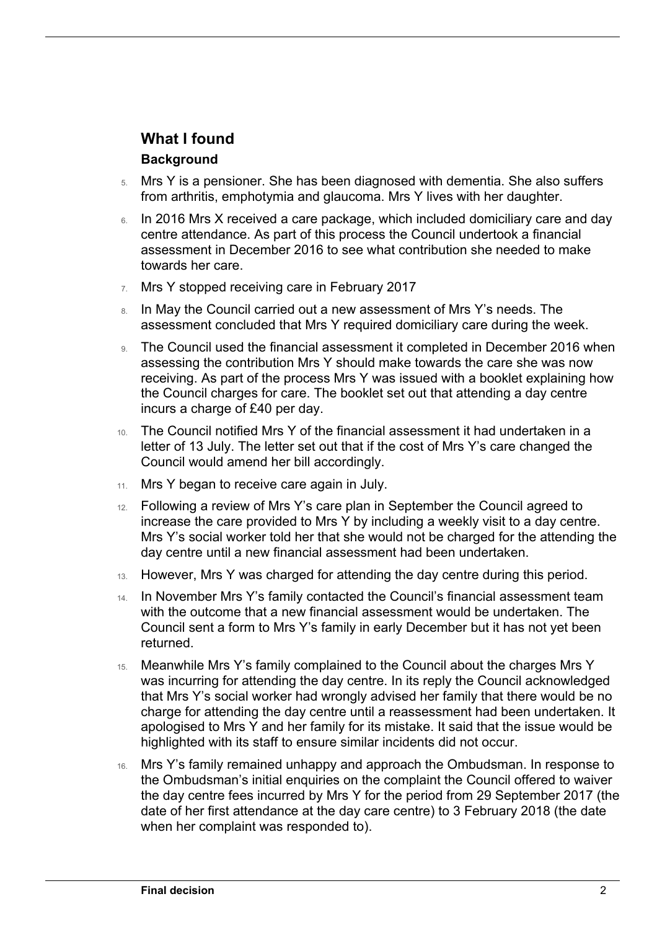# **What I found**

#### **Background**

 $\overline{a}$ 

- 5. Mrs Y is a pensioner. She has been diagnosed with dementia. She also suffers from arthritis, emphotymia and glaucoma. Mrs Y lives with her daughter.
- assessment in December 2016 to see what contribution she needed to make 6. In 2016 Mrs X received a care package, which included domiciliary care and day centre attendance. As part of this process the Council undertook a financial towards her care.
- 7. Mrs Y stopped receiving care in February 2017
- 8. In May the Council carried out a new assessment of Mrs Y's needs. The assessment concluded that Mrs Y required domiciliary care during the week.
- incurs a charge of £40 per day. 9. The Council used the financial assessment it completed in December 2016 when assessing the contribution Mrs Y should make towards the care she was now receiving. As part of the process Mrs Y was issued with a booklet explaining how the Council charges for care. The booklet set out that attending a day centre
- 10. The Council notified Mrs Y of the financial assessment it had undertaken in a letter of 13 July. The letter set out that if the cost of Mrs Y's care changed the Council would amend her bill accordingly.
- 11. Mrs Y began to receive care again in July.
- increase the care provided to Mrs Y by including a weekly visit to a day centre. 12. Following a review of Mrs Y's care plan in September the Council agreed to Mrs Y's social worker told her that she would not be charged for the attending the day centre until a new financial assessment had been undertaken.
- 13. However, Mrs Y was charged for attending the day centre during this period.
- 14. In November Mrs Y's family contacted the Council's financial assessment team with the outcome that a new financial assessment would be undertaken. The Council sent a form to Mrs Y's family in early December but it has not yet been returned.
- was incurring for attending the day centre. In its reply the Council acknowledged 15. Meanwhile Mrs Y's family complained to the Council about the charges Mrs Y that Mrs Y's social worker had wrongly advised her family that there would be no charge for attending the day centre until a reassessment had been undertaken. It apologised to Mrs Y and her family for its mistake. It said that the issue would be highlighted with its staff to ensure similar incidents did not occur.
- the Ombudsman's initial enquiries on the complaint the Council offered to waiver the day centre fees incurred by Mrs Y for the period from 29 September 2017 (the date of her first attendance at the day care centre) to 3 February 2018 (the date 16. Mrs Y's family remained unhappy and approach the Ombudsman. In response to when her complaint was responded to).